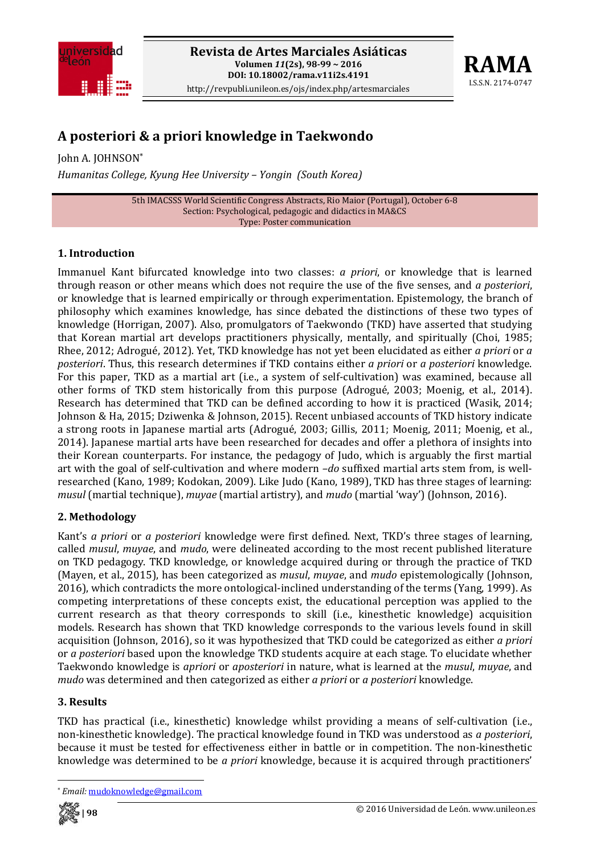



# **A posteriori & a priori knowledge in Taekwondo**

John A. JOHNSON\* *Humanitas College, Kyung Hee University – Yongin (South Korea)*

> 5th IMACSSS World Scientific Congress Abstracts, Rio Maior (Portugal), October 6‐8 Section: Psychological, pedagogic and didactics in MA&CS Type: Poster communication

## **1. Introduction**

Immanuel Kant bifurcated knowledge into two classes: *a priori*, or knowledge that is learned through reason or other means which does not require the use of the five senses, and *a posteriori*, or knowledge that is learned empirically or through experimentation. Epistemology, the branch of philosophy which examines knowledge, has since debated the distinctions of these two types of knowledge (Horrigan, 2007). Also, promulgators of Taekwondo (TKD) have asserted that studying that Korean martial art develops practitioners physically, mentally, and spiritually (Choi, 1985; Rhee, 2012; Adrogué, 2012). Yet, TKD knowledge has not yet been elucidated as either *a priori* or *a posteriori*. Thus, this research determines if TKD contains either *a priori* or *a posteriori* knowledge. For this paper, TKD as a martial art (i.e., a system of self-cultivation) was examined, because all other forms of TKD stem historically from this purpose (Adrogué, 2003; Moenig, et al., 2014). Research has determined that TKD can be defined according to how it is practiced (Wasik, 2014; Johnson & Ha, 2015; Dziwenka & Johnson, 2015). Recent unbiased accounts of TKD history indicate a strong roots in Japanese martial arts (Adrogué, 2003; Gillis, 2011; Moenig, 2011; Moenig, et al., 2014). Japanese martial arts have been researched for decades and offer a plethora of insights into their Korean counterparts. For instance, the pedagogy of Judo, which is arguably the first martial art with the goal of self-cultivation and where modern *-do* suffixed martial arts stem from, is wellresearched (Kano, 1989; Kodokan, 2009). Like Judo (Kano, 1989), TKD has three stages of learning: *musul* (martial technique), *muyae* (martial artistry), and *mudo* (martial 'way') (Johnson, 2016).

### **2. Methodology**

Kant's *a priori* or *a posteriori* knowledge were first defined. Next, TKD's three stages of learning, called *musul*, *muyae*, and *mudo*, were delineated according to the most recent published literature on TKD pedagogy. TKD knowledge, or knowledge acquired during or through the practice of TKD (Mayen, et al., 2015), has been categorized as *musul*, *muyae*, and *mudo* epistemologically (Johnson, 2016), which contradicts the more ontological‐inclined understanding of the terms (Yang, 1999). As competing interpretations of these concepts exist, the educational perception was applied to the current research as that theory corresponds to skill (i.e., kinesthetic knowledge) acquisition models. Research has shown that TKD knowledge corresponds to the various levels found in skill acquisition (Johnson, 2016), so it was hypothesized that TKD could be categorized as either *a priori* or *a posteriori* based upon the knowledge TKD students acquire at each stage. To elucidate whether Taekwondo knowledge is *apriori* or *aposteriori* in nature, what is learned at the *musul*, *muyae*, and *mudo* was determined and then categorized as either *a priori* or *a posteriori* knowledge.

### **3. Results**

TKD has practical (i.e., kinesthetic) knowledge whilst providing a means of self‐cultivation (i.e., non‐kinesthetic knowledge). The practical knowledge found in TKD was understood as *a posteriori*, because it must be tested for effectiveness either in battle or in competition. The non-kinesthetic knowledge was determined to be *a priori* knowledge, because it is acquired through practitioners'

 \* *Email:* mudoknowledge@gmail.com